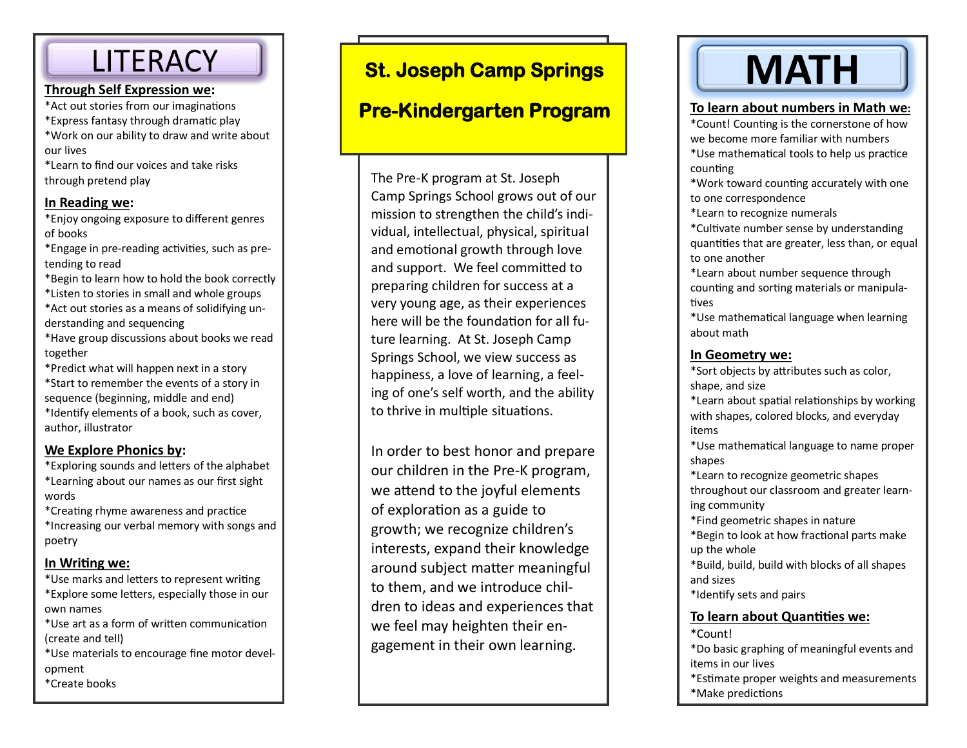## **LITERACY**

#### **Through Self Expression we:**

- \*Act out stories from our imaginations
- \*Express fantasy through dramatic play
- \*Work on our ability to draw and write about our lives

\*Learn to find our voices and take risks through pretend play

#### **In Reading we:**

\*Enjoy ongoing exposure to different genres of books

\*Engage in pre-reading activities, such as pretending to read

- \*Begin to learn how to hold the book correctly
- \*Listen to stories in small and whole groups
- \*Act out stories as a means of solidifying understanding and sequencing
- \*Have group discussions about books we read together
- \*Predict what will happen next in a story \*Start to remember the events of a story in
- sequence (beginning, middle and end) \*Identify elements of a book, such as cover, author, illustrator

#### **We Explore Phonics by:**

- \*Exploring sounds and letters of the alphabet \*Learning about our names as our first sight words
- \*Creating rhyme awareness and practice
- \*Increasing our verbal memory with songs and poetry

#### **In Writing we:**

- \*Use marks and letters to represent writing \*Explore some letters, especially those in our own names
- \*Use art as a form of written communication (create and tell)
- \*Use materials to encourage fine motor development
- \*Create books

## **St. Joseph Camp Springs**

### **Pre-Kindergarten Program**

The Pre-K program at St. Joseph Camp Springs School grows out of our mission to strengthen the child's individual, intellectual, physical, spiritual and emotional growth through love and support. We feel committed to preparing children for success at a very young age, as their experiences here will be the foundation for all future learning. At St. Joseph Camp Springs School, we view success as happiness, a love of learning, a feeling of one's self worth, and the ability to thrive in multiple situations.

In order to best honor and prepare our children in the Pre-K program, we attend to the joyful elements of exploration as a guide to growth; we recognize children's interests, expand their knowledge around subject matter meaningful to them, and we introduce children to ideas and experiences that we feel may heighten their engagement in their own learning.

# **MATH**

#### **To learn about numbers in Math we:**

\*Count! Counting is the cornerstone of how we become more familiar with numbers

- \*Use mathematical tools to help us practice counting
- \*Work toward counting accurately with one to one correspondence
- \*Learn to recognize numerals
- \*Cultivate number sense by understanding quantities that are greater, less than, or equal to one another
- \*Learn about number sequence through counting and sorting materials or manipulatives

\*Use mathematical language when learning about math

#### **In Geometry we:**

\*Sort objects by attributes such as color, shape, and size

\*Learn about spatial relationships by working with shapes, colored blocks, and everyday items

\*Use mathematical language to name proper shapes

\*Learn to recognize geometric shapes throughout our classroom and greater learning community

\*Find geometric shapes in nature

\*Begin to look at how fractional parts make up the whole

\*Build, build, build with blocks of all shapes and sizes

\*Identify sets and pairs

#### **To learn about Quantities we:**

#### \*Count!

\*Do basic graphing of meaningful events and items in our lives

\*Estimate proper weights and measurements \*Make predictions